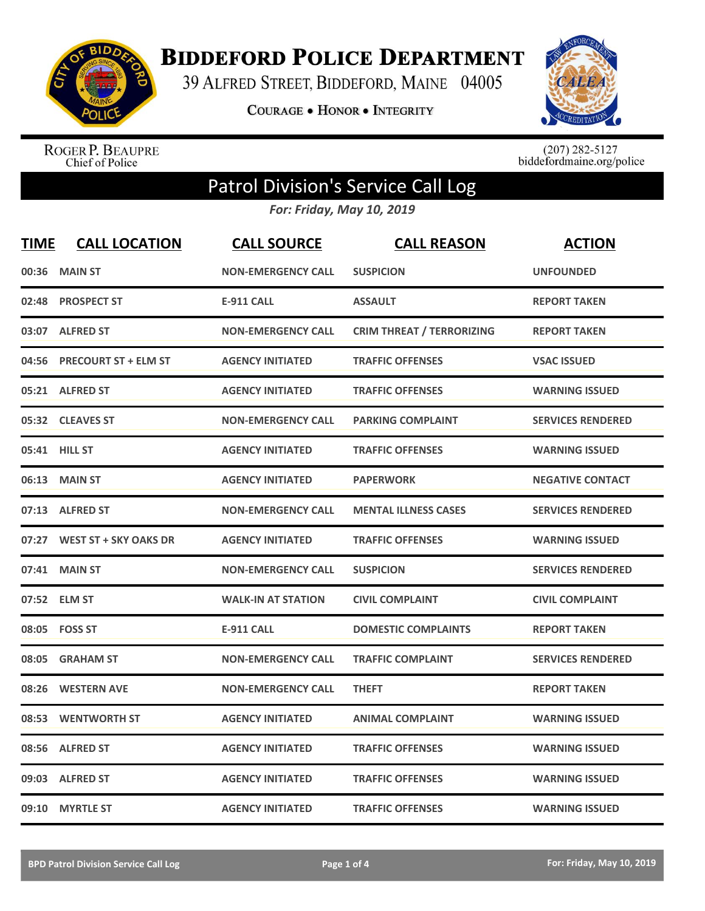

**BIDDEFORD POLICE DEPARTMENT** 

39 ALFRED STREET, BIDDEFORD, MAINE 04005

**COURAGE . HONOR . INTEGRITY** 



ROGER P. BEAUPRE<br>Chief of Police

 $(207)$  282-5127<br>biddefordmaine.org/police

## Patrol Division's Service Call Log

*For: Friday, May 10, 2019*

| <b>TIME</b> | <b>CALL LOCATION</b>         | <b>CALL SOURCE</b>        | <b>CALL REASON</b>               | <b>ACTION</b>            |
|-------------|------------------------------|---------------------------|----------------------------------|--------------------------|
| 00:36       | <b>MAIN ST</b>               | <b>NON-EMERGENCY CALL</b> | <b>SUSPICION</b>                 | <b>UNFOUNDED</b>         |
| 02:48       | <b>PROSPECT ST</b>           | <b>E-911 CALL</b>         | <b>ASSAULT</b>                   | <b>REPORT TAKEN</b>      |
|             | 03:07 ALFRED ST              | <b>NON-EMERGENCY CALL</b> | <b>CRIM THREAT / TERRORIZING</b> | <b>REPORT TAKEN</b>      |
| 04:56       | <b>PRECOURT ST + ELM ST</b>  | <b>AGENCY INITIATED</b>   | <b>TRAFFIC OFFENSES</b>          | <b>VSAC ISSUED</b>       |
|             | 05:21 ALFRED ST              | <b>AGENCY INITIATED</b>   | <b>TRAFFIC OFFENSES</b>          | <b>WARNING ISSUED</b>    |
|             | 05:32 CLEAVES ST             | <b>NON-EMERGENCY CALL</b> | <b>PARKING COMPLAINT</b>         | <b>SERVICES RENDERED</b> |
| 05:41       | <b>HILL ST</b>               | <b>AGENCY INITIATED</b>   | <b>TRAFFIC OFFENSES</b>          | <b>WARNING ISSUED</b>    |
| 06:13       | <b>MAIN ST</b>               | <b>AGENCY INITIATED</b>   | <b>PAPERWORK</b>                 | <b>NEGATIVE CONTACT</b>  |
| 07:13       | <b>ALFRED ST</b>             | <b>NON-EMERGENCY CALL</b> | <b>MENTAL ILLNESS CASES</b>      | <b>SERVICES RENDERED</b> |
| 07:27       | <b>WEST ST + SKY OAKS DR</b> | <b>AGENCY INITIATED</b>   | <b>TRAFFIC OFFENSES</b>          | <b>WARNING ISSUED</b>    |
| 07:41       | <b>MAIN ST</b>               | <b>NON-EMERGENCY CALL</b> | <b>SUSPICION</b>                 | <b>SERVICES RENDERED</b> |
|             | 07:52 ELM ST                 | <b>WALK-IN AT STATION</b> | <b>CIVIL COMPLAINT</b>           | <b>CIVIL COMPLAINT</b>   |
| 08:05       | <b>FOSS ST</b>               | <b>E-911 CALL</b>         | <b>DOMESTIC COMPLAINTS</b>       | <b>REPORT TAKEN</b>      |
| 08:05       | <b>GRAHAM ST</b>             | <b>NON-EMERGENCY CALL</b> | <b>TRAFFIC COMPLAINT</b>         | <b>SERVICES RENDERED</b> |
| 08:26       | <b>WESTERN AVE</b>           | <b>NON-EMERGENCY CALL</b> | <b>THEFT</b>                     | <b>REPORT TAKEN</b>      |
| 08:53       | <b>WENTWORTH ST</b>          | <b>AGENCY INITIATED</b>   | <b>ANIMAL COMPLAINT</b>          | <b>WARNING ISSUED</b>    |
| 08:56       | <b>ALFRED ST</b>             | <b>AGENCY INITIATED</b>   | <b>TRAFFIC OFFENSES</b>          | <b>WARNING ISSUED</b>    |
| 09:03       | <b>ALFRED ST</b>             | <b>AGENCY INITIATED</b>   | <b>TRAFFIC OFFENSES</b>          | <b>WARNING ISSUED</b>    |
| 09:10       | <b>MYRTLE ST</b>             | <b>AGENCY INITIATED</b>   | <b>TRAFFIC OFFENSES</b>          | <b>WARNING ISSUED</b>    |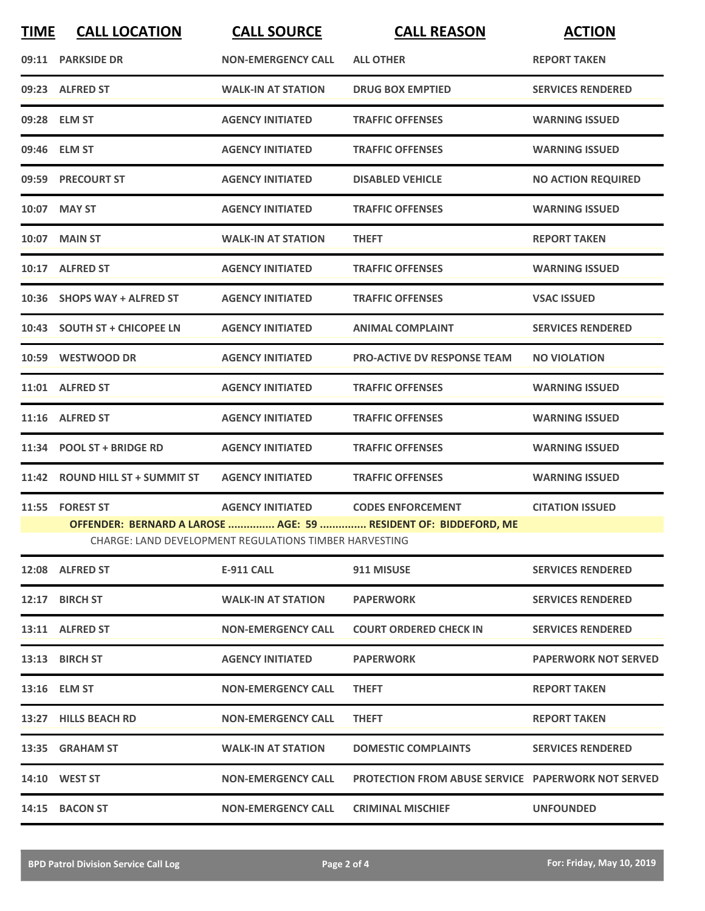| <b>TIME</b> | <b>CALL LOCATION</b>            | <b>CALL SOURCE</b>                                     | <b>CALL REASON</b>                                              | <b>ACTION</b>               |
|-------------|---------------------------------|--------------------------------------------------------|-----------------------------------------------------------------|-----------------------------|
|             | 09:11 PARKSIDE DR               | <b>NON-EMERGENCY CALL</b>                              | <b>ALL OTHER</b>                                                | <b>REPORT TAKEN</b>         |
|             | 09:23 ALFRED ST                 | <b>WALK-IN AT STATION</b>                              | <b>DRUG BOX EMPTIED</b>                                         | <b>SERVICES RENDERED</b>    |
|             | 09:28 ELM ST                    | <b>AGENCY INITIATED</b>                                | <b>TRAFFIC OFFENSES</b>                                         | <b>WARNING ISSUED</b>       |
|             | 09:46 ELM ST                    | <b>AGENCY INITIATED</b>                                | <b>TRAFFIC OFFENSES</b>                                         | <b>WARNING ISSUED</b>       |
|             | 09:59 PRECOURT ST               | <b>AGENCY INITIATED</b>                                | <b>DISABLED VEHICLE</b>                                         | <b>NO ACTION REQUIRED</b>   |
|             | 10:07 MAY ST                    | <b>AGENCY INITIATED</b>                                | <b>TRAFFIC OFFENSES</b>                                         | <b>WARNING ISSUED</b>       |
| 10:07       | <b>MAIN ST</b>                  | <b>WALK-IN AT STATION</b>                              | <b>THEFT</b>                                                    | <b>REPORT TAKEN</b>         |
|             | 10:17 ALFRED ST                 | <b>AGENCY INITIATED</b>                                | <b>TRAFFIC OFFENSES</b>                                         | <b>WARNING ISSUED</b>       |
|             | 10:36 SHOPS WAY + ALFRED ST     | <b>AGENCY INITIATED</b>                                | <b>TRAFFIC OFFENSES</b>                                         | <b>VSAC ISSUED</b>          |
|             | 10:43 SOUTH ST + CHICOPEE LN    | <b>AGENCY INITIATED</b>                                | <b>ANIMAL COMPLAINT</b>                                         | <b>SERVICES RENDERED</b>    |
|             | 10:59 WESTWOOD DR               | <b>AGENCY INITIATED</b>                                | <b>PRO-ACTIVE DV RESPONSE TEAM</b>                              | <b>NO VIOLATION</b>         |
|             | 11:01 ALFRED ST                 | <b>AGENCY INITIATED</b>                                | <b>TRAFFIC OFFENSES</b>                                         | <b>WARNING ISSUED</b>       |
|             | 11:16 ALFRED ST                 | <b>AGENCY INITIATED</b>                                | <b>TRAFFIC OFFENSES</b>                                         | <b>WARNING ISSUED</b>       |
|             | 11:34 POOL ST + BRIDGE RD       | <b>AGENCY INITIATED</b>                                | <b>TRAFFIC OFFENSES</b>                                         | <b>WARNING ISSUED</b>       |
|             | 11:42 ROUND HILL ST + SUMMIT ST | <b>AGENCY INITIATED</b>                                | <b>TRAFFIC OFFENSES</b>                                         | <b>WARNING ISSUED</b>       |
| 11:55       | <b>FOREST ST</b>                | <b>AGENCY INITIATED</b>                                | <b>CODES ENFORCEMENT</b>                                        | <b>CITATION ISSUED</b>      |
|             |                                 | CHARGE: LAND DEVELOPMENT REGULATIONS TIMBER HARVESTING | OFFENDER: BERNARD A LAROSE  AGE: 59  RESIDENT OF: BIDDEFORD, ME |                             |
|             | 12:08 ALFRED ST                 | E-911 CALL                                             | 911 MISUSE                                                      | <b>SERVICES RENDERED</b>    |
|             | 12:17 BIRCH ST                  | <b>WALK-IN AT STATION</b>                              | <b>PAPERWORK</b>                                                | <b>SERVICES RENDERED</b>    |
|             | 13:11 ALFRED ST                 | <b>NON-EMERGENCY CALL</b>                              | <b>COURT ORDERED CHECK IN</b>                                   | <b>SERVICES RENDERED</b>    |
|             | 13:13 BIRCH ST                  | <b>AGENCY INITIATED</b>                                | <b>PAPERWORK</b>                                                | <b>PAPERWORK NOT SERVED</b> |
|             | 13:16 ELM ST                    | <b>NON-EMERGENCY CALL</b>                              | <b>THEFT</b>                                                    | <b>REPORT TAKEN</b>         |
|             | 13:27 HILLS BEACH RD            | <b>NON-EMERGENCY CALL</b>                              | <b>THEFT</b>                                                    | <b>REPORT TAKEN</b>         |
|             | 13:35 GRAHAM ST                 | <b>WALK-IN AT STATION</b>                              | <b>DOMESTIC COMPLAINTS</b>                                      | <b>SERVICES RENDERED</b>    |
|             | <b>14:10 WEST ST</b>            | <b>NON-EMERGENCY CALL</b>                              | <b>PROTECTION FROM ABUSE SERVICE PAPERWORK NOT SERVED</b>       |                             |
|             | 14:15 BACON ST                  | <b>NON-EMERGENCY CALL</b>                              | <b>CRIMINAL MISCHIEF</b>                                        | <b>UNFOUNDED</b>            |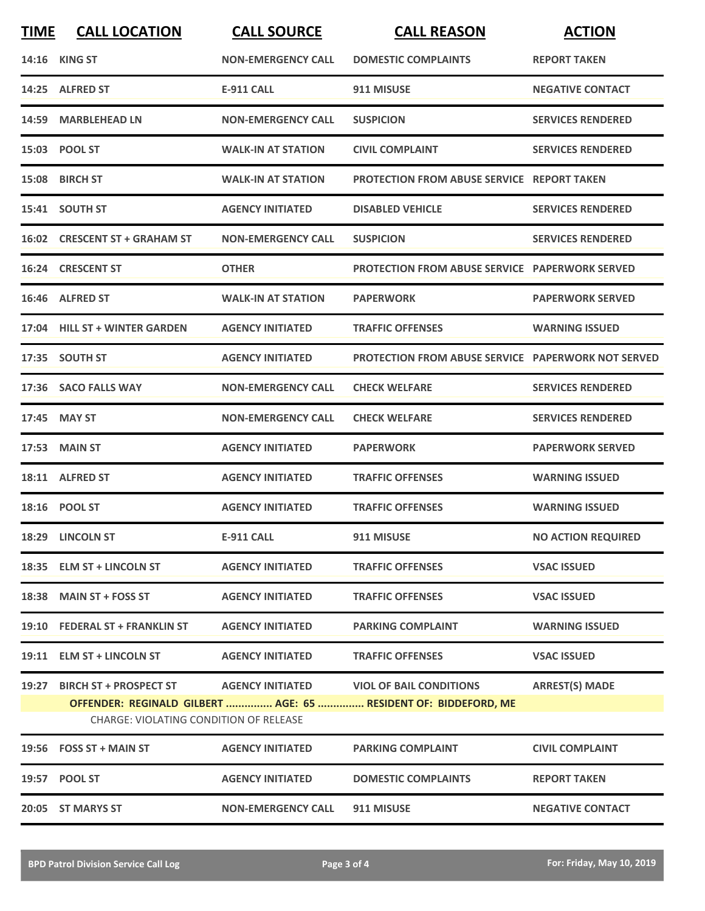| <b>TIME</b> | <b>CALL LOCATION</b>                                                          | <b>CALL SOURCE</b>        | <b>CALL REASON</b>                                                                                          | <b>ACTION</b>             |
|-------------|-------------------------------------------------------------------------------|---------------------------|-------------------------------------------------------------------------------------------------------------|---------------------------|
|             | <b>14:16 KING ST</b>                                                          | <b>NON-EMERGENCY CALL</b> | <b>DOMESTIC COMPLAINTS</b>                                                                                  | <b>REPORT TAKEN</b>       |
|             | 14:25 ALFRED ST                                                               | <b>E-911 CALL</b>         | 911 MISUSE                                                                                                  | <b>NEGATIVE CONTACT</b>   |
| 14:59       | <b>MARBLEHEAD LN</b>                                                          | <b>NON-EMERGENCY CALL</b> | <b>SUSPICION</b>                                                                                            | <b>SERVICES RENDERED</b>  |
|             | 15:03 POOL ST                                                                 | <b>WALK-IN AT STATION</b> | <b>CIVIL COMPLAINT</b>                                                                                      | <b>SERVICES RENDERED</b>  |
|             | 15:08 BIRCH ST                                                                | <b>WALK-IN AT STATION</b> | PROTECTION FROM ABUSE SERVICE REPORT TAKEN                                                                  |                           |
|             | 15:41 SOUTH ST                                                                | <b>AGENCY INITIATED</b>   | <b>DISABLED VEHICLE</b>                                                                                     | <b>SERVICES RENDERED</b>  |
|             | 16:02 CRESCENT ST + GRAHAM ST                                                 | <b>NON-EMERGENCY CALL</b> | <b>SUSPICION</b>                                                                                            | <b>SERVICES RENDERED</b>  |
|             | 16:24 CRESCENT ST                                                             | <b>OTHER</b>              | <b>PROTECTION FROM ABUSE SERVICE PAPERWORK SERVED</b>                                                       |                           |
|             | 16:46 ALFRED ST                                                               | <b>WALK-IN AT STATION</b> | <b>PAPERWORK</b>                                                                                            | <b>PAPERWORK SERVED</b>   |
|             | 17:04 HILL ST + WINTER GARDEN                                                 | <b>AGENCY INITIATED</b>   | <b>TRAFFIC OFFENSES</b>                                                                                     | <b>WARNING ISSUED</b>     |
|             | 17:35 SOUTH ST                                                                | <b>AGENCY INITIATED</b>   | <b>PROTECTION FROM ABUSE SERVICE PAPERWORK NOT SERVED</b>                                                   |                           |
|             | 17:36 SACO FALLS WAY                                                          | <b>NON-EMERGENCY CALL</b> | <b>CHECK WELFARE</b>                                                                                        | <b>SERVICES RENDERED</b>  |
| 17:45       | <b>MAY ST</b>                                                                 | <b>NON-EMERGENCY CALL</b> | <b>CHECK WELFARE</b>                                                                                        | <b>SERVICES RENDERED</b>  |
|             | <b>17:53 MAIN ST</b>                                                          | <b>AGENCY INITIATED</b>   | <b>PAPERWORK</b>                                                                                            | <b>PAPERWORK SERVED</b>   |
| 18:11       | <b>ALFRED ST</b>                                                              | <b>AGENCY INITIATED</b>   | <b>TRAFFIC OFFENSES</b>                                                                                     | <b>WARNING ISSUED</b>     |
|             | 18:16 POOL ST                                                                 | <b>AGENCY INITIATED</b>   | <b>TRAFFIC OFFENSES</b>                                                                                     | <b>WARNING ISSUED</b>     |
|             | 18:29 LINCOLN ST                                                              | E-911 CALL                | 911 MISUSE                                                                                                  | <b>NO ACTION REQUIRED</b> |
|             | 18:35 ELM ST + LINCOLN ST                                                     | <b>AGENCY INITIATED</b>   | <b>TRAFFIC OFFENSES</b>                                                                                     | <b>VSAC ISSUED</b>        |
|             | 18:38 MAIN ST + FOSS ST                                                       | <b>AGENCY INITIATED</b>   | <b>TRAFFIC OFFENSES</b>                                                                                     | <b>VSAC ISSUED</b>        |
|             | 19:10 FEDERAL ST + FRANKLIN ST                                                | <b>AGENCY INITIATED</b>   | <b>PARKING COMPLAINT</b>                                                                                    | <b>WARNING ISSUED</b>     |
|             | 19:11 ELM ST + LINCOLN ST                                                     | <b>AGENCY INITIATED</b>   | <b>TRAFFIC OFFENSES</b>                                                                                     | <b>VSAC ISSUED</b>        |
|             | 19:27 BIRCH ST + PROSPECT ST<br><b>CHARGE: VIOLATING CONDITION OF RELEASE</b> |                           | AGENCY INITIATED VIOL OF BAIL CONDITIONS<br>OFFENDER: REGINALD GILBERT  AGE: 65  RESIDENT OF: BIDDEFORD, ME | <b>ARREST(S) MADE</b>     |
|             | $19:56$ FOSS ST + MAIN ST                                                     | <b>AGENCY INITIATED</b>   | <b>PARKING COMPLAINT</b>                                                                                    | <b>CIVIL COMPLAINT</b>    |
|             | 19:57 POOL ST                                                                 | <b>AGENCY INITIATED</b>   | <b>DOMESTIC COMPLAINTS</b>                                                                                  | <b>REPORT TAKEN</b>       |
|             | 20:05 ST MARYS ST                                                             | <b>NON-EMERGENCY CALL</b> | 911 MISUSE                                                                                                  | <b>NEGATIVE CONTACT</b>   |